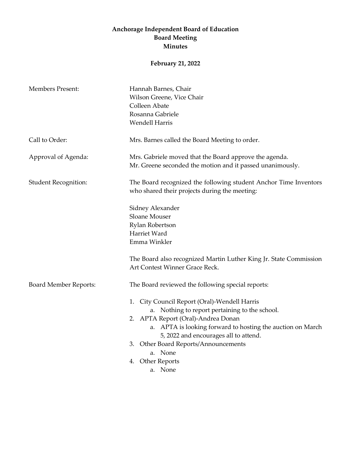## **Anchorage Independent Board of Education Board Meeting Minutes**

## **February 21, 2022**

| <b>Members Present:</b>      | Hannah Barnes, Chair                                                                                              |
|------------------------------|-------------------------------------------------------------------------------------------------------------------|
|                              | Wilson Greene, Vice Chair                                                                                         |
|                              | Colleen Abate                                                                                                     |
|                              | Rosanna Gabriele                                                                                                  |
|                              | <b>Wendell Harris</b>                                                                                             |
| Call to Order:               | Mrs. Barnes called the Board Meeting to order.                                                                    |
| Approval of Agenda:          | Mrs. Gabriele moved that the Board approve the agenda.                                                            |
|                              | Mr. Greene seconded the motion and it passed unanimously.                                                         |
| <b>Student Recognition:</b>  | The Board recognized the following student Anchor Time Inventors<br>who shared their projects during the meeting: |
|                              | Sidney Alexander                                                                                                  |
|                              | Sloane Mouser                                                                                                     |
|                              | Rylan Robertson                                                                                                   |
|                              | Harriet Ward                                                                                                      |
|                              | Emma Winkler                                                                                                      |
|                              | The Board also recognized Martin Luther King Jr. State Commission                                                 |
|                              | Art Contest Winner Grace Reck.                                                                                    |
| <b>Board Member Reports:</b> | The Board reviewed the following special reports:                                                                 |
|                              | 1. City Council Report (Oral)-Wendell Harris                                                                      |
|                              | a. Nothing to report pertaining to the school.                                                                    |
|                              | 2. APTA Report (Oral)-Andrea Donan                                                                                |
|                              | a. APTA is looking forward to hosting the auction on March                                                        |
|                              | 5, 2022 and encourages all to attend.                                                                             |
|                              | 3. Other Board Reports/Announcements                                                                              |
|                              | a. None                                                                                                           |
|                              | 4. Other Reports                                                                                                  |
|                              | a. None                                                                                                           |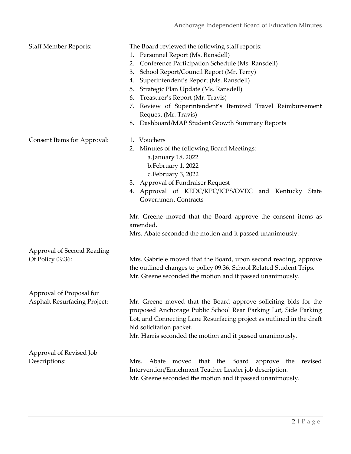| <b>Staff Member Reports:</b>                                    | The Board reviewed the following staff reports:<br>Personnel Report (Ms. Ransdell)<br>1.<br>Conference Participation Schedule (Ms. Ransdell)<br>2.<br>School Report/Council Report (Mr. Terry)<br>3.<br>Superintendent's Report (Ms. Ransdell)<br>4.<br>Strategic Plan Update (Ms. Ransdell)<br>5.<br>Treasurer's Report (Mr. Travis)<br>6.<br>Review of Superintendent's Itemized Travel Reimbursement<br>7.<br>Request (Mr. Travis) |
|-----------------------------------------------------------------|---------------------------------------------------------------------------------------------------------------------------------------------------------------------------------------------------------------------------------------------------------------------------------------------------------------------------------------------------------------------------------------------------------------------------------------|
|                                                                 | Dashboard/MAP Student Growth Summary Reports<br>8.                                                                                                                                                                                                                                                                                                                                                                                    |
| Consent Items for Approval:                                     | 1. Vouchers<br>Minutes of the following Board Meetings:<br>2.<br>a.January 18, 2022<br>b.February 1, 2022<br>c. February 3, 2022<br><b>Approval of Fundraiser Request</b><br>3.<br>4. Approval of KEDC/KPC/JCPS/OVEC and Kentucky State<br><b>Government Contracts</b><br>Mr. Greene moved that the Board approve the consent items as<br>amended.<br>Mrs. Abate seconded the motion and it passed unanimously.                       |
| Approval of Second Reading<br>Of Policy 09.36:                  | Mrs. Gabriele moved that the Board, upon second reading, approve<br>the outlined changes to policy 09.36, School Related Student Trips.<br>Mr. Greene seconded the motion and it passed unanimously.                                                                                                                                                                                                                                  |
| Approval of Proposal for<br><b>Asphalt Resurfacing Project:</b> | Mr. Greene moved that the Board approve soliciting bids for the<br>proposed Anchorage Public School Rear Parking Lot, Side Parking<br>Lot, and Connecting Lane Resurfacing project as outlined in the draft<br>bid solicitation packet.<br>Mr. Harris seconded the motion and it passed unanimously.                                                                                                                                  |
| Approval of Revised Job                                         |                                                                                                                                                                                                                                                                                                                                                                                                                                       |
| Descriptions:                                                   | moved that the Board<br>revised<br>Mrs.<br>Abate<br>approve<br>the<br>Intervention/Enrichment Teacher Leader job description.<br>Mr. Greene seconded the motion and it passed unanimously.                                                                                                                                                                                                                                            |